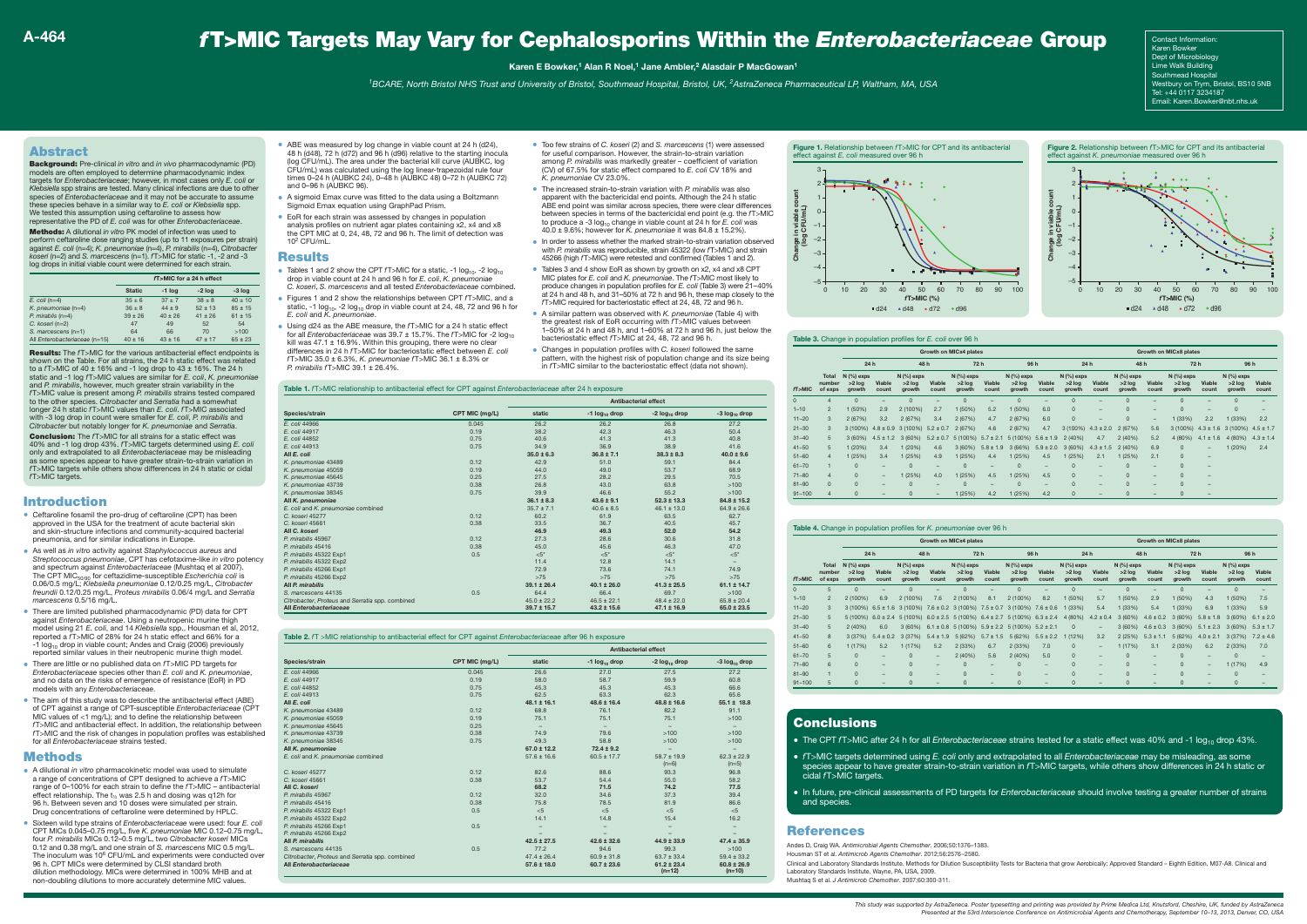# *f*T>MIC Targets May Vary for Cephalosporins Within the *Enterobacteriaceae* Group

#### **Karen E Bowker,1 Alan R Noel,1 Jane Ambler,2 Alasdair P MacGowan1**

*1BCARE, North Bristol NHS Trust and University of Bristol, Southmead Hospital, Bristol, UK, 2AstraZeneca Pharmaceutical LP, Waltham, MA, USA*

Andes D, Craig WA. *Antimicrobial Agents Chemother*. 2006;50:1376–1383. Housman ST et al. *Antimicrob Agents Chemother*. 2012;56:2576–2580. Clinical and Laboratory Standards Institute. Methods for Dilution Susceptibility Tests for Bacteria that grow Aerobically; Approved Standard – Eighth Edition, M07-A8. Clinical and Laboratory Standards Institute, Wayne, PA, USA, 2009. Mushtaq S et al. *J Antimicrob Chemother*. 2007;60:300-311.

#### Introduction

- Ceftaroline fosamil the pro-drug of ceftaroline (CPT) has been approved in the USA for the treatment of acute bacterial skin and skin-structure infections and community-acquired bacterial pneumonia, and for similar indications in Europe.
- As well as *in vitro* activity against *Staphylococcus aureus* and *Streptococcus pneumoniae*, CPT has cefotaxime-like *in vitro* potency and spectrum against *Enterobacteriaceae* (Mushtaq et al 2007). The CPT MIC50/90 for ceftazidime-susceptible *Escherichia coli* is 0.06/0.5 mg/L; *Klebsiella pneumoniae* 0.12/0.25 mg/L, *Citrobacter freundii* 0.12/0.25 mg/L, *Proteus mirabilis* 0.06/4 mg/L and *Serratia marcescens* 0.5/16 mg/L.
- There are limited published pharmacodynamic (PD) data for CPT against *Enterobacteriaceae*. Using a neutropenic murine thigh model using 21 *E. coli*, and 14 *Klebsiella* spp., Housman et al, 2012, reported a *f*T>MIC of 28% for 24 h static effect and 66% for a -1  $log_{10}$  drop in viable count; Andes and Craig (2006) previously reported similar values in their neutropenic murine thigh model.
- There are little or no published data on *f*T>MIC PD targets for *Enterobacteriaceae* species other than *E. coli* and *K. pneumoniae*, and no data on the risks of emergence of resistance (EoR) in PD models with any *Enterobacteriaceae*.
- The aim of this study was to describe the antibacterial effect (ABE) of CPT against a range of CPT-susceptible *Enterobacteriaceae* (CPT MIC values of <1 mg/L); and to define the relationship between *f*T>MIC and antibacterial effect. In addition, the relationship between *f*T>MIC and the risk of changes in population profiles was established for all *Enterobacteriaceae* strains tested.

### Methods

- A dilutional *in vitro* pharmacokinetic model was used to simulate a range of concentrations of CPT designed to achieve a *f*T>MIC range of 0–100% for each strain to define the *f*T>MIC – antibacterial effect relationship. The  $t_{14}$  was 2.5 h and dosing was q12h for 96 h. Between seven and 10 doses were simulated per strain. Drug concentrations of ceftaroline were determined by HPLC.
- Sixteen wild type strains of *Enterobacteriaceae* were used: four *E. coli* CPT MICs 0.045–0.75 mg/L, five *K. pneumoniae* MIC 0.12–0.75 mg/L, four *P. mirabilis* MICs 0.12–0.5 mg/L, two *Citrobacter koseri* MICs 0.12 and 0.38 mg/L and one strain of *S. marcescens* MIC 0.5 mg/L. The inoculum was 10<sup>6</sup> CFU/mL and experiments were conducted over 96 h. CPT MICs were determined by CLSI standard broth dilution methodology. MICs were determined in 100% MHB and at non-doubling dilutions to more accurately determine MIC values.
- ABE was measured by log change in viable count at 24 h (d24) 48 h (d48), 72 h (d72) and 96 h (d96) relative to the starting inocula (log CFU/mL). The area under the bacterial kill curve (AUBKC, log CFU/mL) was calculated using the log linear-trapezoidal rule four times 0–24 h (AUBKC 24), 0–48 h (AUBKC 48) 0–72 h (AUBKC 72) and 0–96 h (AUBKC 96).
- A sigmoid Emax curve was fitted to the data using a Boltzmann Sigmoid Emax equation using GraphPad Prism.
- EoR for each strain was assessed by changes in population analysis profiles on nutrient agar plates containing x2, x4 and x8 the CPT MIC at 0, 24, 48, 72 and 96 h. The limit of detection was  $10^2$  CFLI/mL.

#### **Results**



Contact Information: Karen Bowker Dept of Microbiology Lime Walk Building Southmead Hospital Westbury on Trym, Bristol, BS10 5NB Tel: +44 0117 3234187 Email: Karen.Bowker@nbt.nhs.uk

## Abstract

Background: Pre-clinical *in vitro* and *in vivo* pharmacodynamic (PD) models are often employed to determine pharmacodynamic index targets for *Enterobacteriaceae*; however, in most cases only *E. coli* or *Klebsiella* spp strains are tested. Many clinical infections are due to other species of *Enterobacteriaceae* and it may not be accurate to assume these species behave in a similar way to *E. coli* or *Klebsiella* spp. We tested this assumption using ceftaroline to assess how representative the PD of *E. coli* was for other *Enterobacteriaceae*.

Methods: A dilutional *in vitro* PK model of infection was used to perform ceftaroline dose ranging studies (up to 11 exposures per strain) against *E. coli* (n=4); *K. pneumoniae* (n=4), *P. mirabilis* (n=4), *Citrobacter koseri* (n=2) and *S. marcescens* (n=1). *f*T>MIC for static -1, -2 and -3 log drops in initial viable count were determined for each strain.

Results: The *f*T>MIC for the various antibacterial effect endpoints is shown on the Table. For all strains, the 24 h static effect was related to a *f*T>MIC of 40 ± 16% and -1 log drop to 43 ± 16%. The 24 h static and -1 log *f*T>MIC values are similar for *E. coli*, *K. pneumoniae* and *P. mirabilis*, however, much greater strain variability in the *f*T>MIC value is present among *P. mirabilis* strains tested compared to the other species. *Citrobacter* and *Serratia* had a somewhat longer 24 h static *f*T>MIC values than *E. coli*. *f*T>MIC associated with -3 log drop in count were smaller for *E. coli*, *P. mirabilis* and *Citrobacter* but notably longer for *K. pneumoniae* and *Serratia*.

Conclusion: The *f*T>MIC for all strains for a static effect was 40% and -1 log drop 43%. *f*T>MIC targets determined using *E. coli* only and extrapolated to all *Enterobacteriaceae* may be misleading as some species appear to have greater strain-to-strain variation in *f*T>MIC targets while others show differences in 24 h static or cidal *f*T>MIC targets.

> • The CPT *fT*>MIC after 24 h for all *Enterobacteriaceae* strains tested for a static effect was 40% and -1 log<sub>10</sub> drop 43%. • *f*T>MIC targets determined using *E. coli* only and extrapolated to all *Enterobacteriaceae* may be misleading, as some

|                               |               |           | fT>MIC for a 24 h effect |             |
|-------------------------------|---------------|-----------|--------------------------|-------------|
|                               | <b>Static</b> | $-1$ log  | $-2$ log                 | $-3$ log    |
| $E.$ coli (n=4)               | $35 + 6$      | $37 + 7$  | $38 + 8$                 | $40 + 10$   |
| $K.$ pneumoniae (n=4)         | $36 + 8$      | $44 + 9$  | $52 + 13$                | $85 + 15$   |
| $P.$ mirablis (n=4)           | $39 + 26$     | $40 + 26$ | $41 + 26$                | $61 \pm 15$ |
| C. koseri (n=2)               | 47            | 49        | 52                       | 54          |
| $S.$ marcescens $(n=1)$       | 64            | 66        | 70                       | >100        |
| All Enterobacteriaceae (n=15) | $40 + 16$     | $43 + 16$ | $47 + 17$                | $65 + 23$   |

#### **Table 1.** *f*T>MIC relationship to antibacterial effect for CPT against *Enterobacteriaceae* after 24 h exposure

- Tables 1 and 2 show the CPT *f*T>MIC for a static, -1 log<sub>10</sub>, -2 log<sub>10</sub> drop in viable count at 24 h and 96 h for *E. coli*, *K. pneumoniae C. koseri*, *S. marcescens* and all tested *Enterobacteriaceae* combined.
- Figures 1 and 2 show the relationships between CPT *f*T>MIC, and a static, -1  $log<sub>10</sub>$ , -2  $log<sub>10</sub>$  drop in viable count at 24, 48, 72 and 96 h for *E. coli* and *K. pneumoniae*.
- Using d24 as the ABE measure, the *f*T>MIC for a 24 h static effect for all *Enterobacteriaceae* was 39.7 ± 15.7%. The fT>MIC for -2 log<sub>10</sub><br>kill was 47.1 ± 16.9%. Within this grouping, there were no clear differences in 24 h *f*T>MIC for bacteriostatic effect between *E. coli f*T>MIC 35.0 ± 6.3%, *K. pneumoniae f*T>MIC 36.1 ± 8.3% or *P. mirabilis f*T>MIC 39.1 ± 26.4%.

|                                                 |                | <b>Antibacterial effect</b> |                             |                             |                           |  |  |  |  |
|-------------------------------------------------|----------------|-----------------------------|-----------------------------|-----------------------------|---------------------------|--|--|--|--|
| Species/strain                                  | CPT MIC (mg/L) | static                      | $-1$ log <sub>10</sub> drop | $-2$ log <sub>10</sub> drop | -3 log <sub>10</sub> drop |  |  |  |  |
| E. coli 44966                                   | 0.045          | 26.2                        | 26.2                        | 26.8                        | 27.2                      |  |  |  |  |
| E. coli 44917                                   | 0.19           | 38.2                        | 42.3                        | 46.3                        | 50.4                      |  |  |  |  |
| E. coli 44852                                   | 0.75           | 40.6                        | 41.3                        | 41.3                        | 40.8                      |  |  |  |  |
| E. coli 44913                                   | 0.75           | 34.9                        | 36.9                        | 38.9                        | 41.6                      |  |  |  |  |
| All E. coli                                     |                | $35.0 \pm 6.3$              | $36.8 \pm 7.1$              | $38.3 \pm 8.3$              | $40.0 \pm 9.6$            |  |  |  |  |
| K. pneumoniae 43489                             | 0.12           | 42.9                        | 51.0                        | 59.1                        | 84.4                      |  |  |  |  |
| K. pneumoniae 45059                             | 0.19           | 44.0                        | 49.0                        | 53.7                        | 68.9                      |  |  |  |  |
| K. pneumoniae 45645                             | 0.25           | 27.5                        | 28.2                        | 29.5                        | 70.5                      |  |  |  |  |
| K. pneumoniae 43739                             | 0.38           | 26.8                        | 43.0                        | 63.8                        | >100                      |  |  |  |  |
| K. pneumoniae 38345                             | 0.75           | 39.9                        | 46.6                        | 55.2                        | >100                      |  |  |  |  |
| All K. pneumoniae                               |                | $36.1 \pm 8.3$              | $43.6 \pm 9.1$              | $52.3 \pm 13.3$             | $84.8 \pm 15.2$           |  |  |  |  |
| E. coli and K. pneumoniae combined              |                | $35.7 \pm 7.1$              | $40.6 \pm 8.5$              | $46.1 \pm 13.0$             | $64.9 \pm 26.6$           |  |  |  |  |
| C. koseri 45277                                 | 0.12           | 60.2                        | 61.9                        | 63.5                        | 62.7                      |  |  |  |  |
| C. koseri 45661                                 | 0.38           | 33.5                        | 36.7                        | 40.5                        | 45.7                      |  |  |  |  |
| All C. koseri                                   |                | 46.9                        | 49.3                        | 52.0                        | 54.2                      |  |  |  |  |
| P. mirabilis 45967                              | 0.12           | 27.3                        | 28.6                        | 30.6                        | 31.8                      |  |  |  |  |
| P. mirabilis 45416                              | 0.38           | 45.0                        | 45.6                        | 46.3                        | 47.0                      |  |  |  |  |
| P. mirabilis 45322 Exp1                         | 0.5            | $< 5^*$                     | <5'                         | $<5$ *                      | $<5^*$                    |  |  |  |  |
| P. mirabilis 45322 Exp2                         |                | 11.4                        | 12.8                        | 14.1                        | $-$                       |  |  |  |  |
| P. mirabilis 45266 Exp1                         |                | 72.9                        | 73.6                        | 74.1                        | 74.9                      |  |  |  |  |
| P. mirabilis 45266 Exp2                         |                | $>75$                       | >75                         | $>75$                       | $>75$                     |  |  |  |  |
| All P. mirabilis                                |                | $39.1 \pm 26.4$             | $40.1 \pm 26.0$             | $41.3 \pm 25.5$             | $61.1 \pm 14.7$           |  |  |  |  |
| S. marcescens 44135                             | 0.5            | 64.4                        | 66.4                        | 69.7                        | >100                      |  |  |  |  |
| Citrobacter, Proteus and Serratia spp. combined |                | $45.0 \pm 22.2$             | $46.5 \pm 22.1$             | $48.4 + 22.0$               | $65.8 \pm 20.4$           |  |  |  |  |
| All Enterobacteriaceae                          |                | $39.7 \pm 15.7$             | $43.2 \pm 15.6$             | $47.1 \pm 16.9$             | $65.0 \pm 23.5$           |  |  |  |  |
|                                                 |                |                             |                             |                             |                           |  |  |  |  |

#### **Table 2.** *f*T >MIC relationship to antibacterial effect for CPT against *Enterobacteriaceae* after 96 h exposure

|                                                 |                | <b>Antibacterial effect</b> |                    |                             |                             |  |  |  |  |  |
|-------------------------------------------------|----------------|-----------------------------|--------------------|-----------------------------|-----------------------------|--|--|--|--|--|
| Species/strain                                  | CPT MIC (mg/L) | static                      | -1 $log_{10}$ drop | -2 $log_{10}$ drop          | -3 $log_{10}$ drop          |  |  |  |  |  |
| E. coli 44966                                   | 0.045          | 26.6                        | 27.0               | 27.5                        | 27.2                        |  |  |  |  |  |
| E. coli 44917                                   | 0.19           | 58.0                        | 58.7               | 59.9                        | 60.8                        |  |  |  |  |  |
| E. coli 44852                                   | 0.75           | 45.3                        | 45.3               | 45.3                        | 66.6                        |  |  |  |  |  |
| E. coli 44913                                   | 0.75           | 62.5                        | 63.3               | 62.3                        | 65.6                        |  |  |  |  |  |
| All E. coli                                     |                | $48.1 \pm 16.1$             | $48.6 \pm 16.4$    | $48.8 \pm 16.6$             | $55.1 \pm 18.8$             |  |  |  |  |  |
| K. pneumoniae 43489                             | 0.12           | 68.8                        | 76.1               | 82.2                        | 91.1                        |  |  |  |  |  |
| K. pneumoniae 45059                             | 0.19           | 75.1                        | 75.1               | 75.1                        | >100                        |  |  |  |  |  |
| K. pneumoniae 45645                             | 0.25           | $\qquad \qquad -$           | $\equiv$           | $\overline{\phantom{a}}$    | $\overline{\phantom{a}}$    |  |  |  |  |  |
| K. pneumoniae 43739                             | 0.38           | 74.9                        | 79.6               | >100                        | >100                        |  |  |  |  |  |
| K. pneumoniae 38345                             | 0.75           | 49.3                        | 58.8               | >100                        | >100                        |  |  |  |  |  |
| All K. pneumoniae                               |                | $67.0 \pm 12.2$             | $72.4 \pm 9.2$     | $\overline{\phantom{0}}$    | $\qquad \qquad -$           |  |  |  |  |  |
| E. coli and K. pneumoniae combined              |                | $57.6 \pm 16.6$             | $60.5 \pm 17.7$    | $58.7 \pm 19.9$<br>$(n=6)$  | $62.3 \pm 22.9$<br>$(n=5)$  |  |  |  |  |  |
| C. koseri 45277                                 | 0.12           | 82.6                        | 88.6               | 93.3                        | 96.8                        |  |  |  |  |  |
| C. koseri 45661                                 | 0.38           | 53.7                        | 54.4               | 55.0                        | 58.2                        |  |  |  |  |  |
| All C. koseri                                   |                | 68.2                        | 71.5               | 74.2                        | 77.5                        |  |  |  |  |  |
| P. mirabilis 45967                              | 0.12           | 32.0                        | 34.6               | 37.3                        | 39.4                        |  |  |  |  |  |
| P. mirabilis 45416                              | 0.38           | 75.8                        | 78.5               | 81.9                        | 86.6                        |  |  |  |  |  |
| P. mirabilis 45322 Exp1                         | 0.5            | $<$ 5                       | < 5                | < 5                         | $<$ 5                       |  |  |  |  |  |
| P. mirabilis 45322 Exp2                         |                | 14.1                        | 14.8               | 15.4                        | 16.2                        |  |  |  |  |  |
| P. mirabilis 45266 Exp1                         | 0.5            | $\qquad \qquad -$           | -                  |                             | $\qquad \qquad -$           |  |  |  |  |  |
| P. mirabilis 45266 Exp2                         |                | $\qquad \qquad -$           |                    |                             |                             |  |  |  |  |  |
| All P. mirabilis                                |                | $42.5 \pm 27.5$             | $42.6 \pm 32.6$    | $44.9 \pm 33.9$             | $47.4 \pm 35.9$             |  |  |  |  |  |
| S. marcescens 44135                             | 0.5            | 77.2                        | 94.6               | 99.3                        | >100                        |  |  |  |  |  |
| Citrobacter, Proteus and Serratia spp. combined |                | $47.4 \pm 26.4$             | $60.9 \pm 31.8$    | $63.7 \pm 33.4$             | $59.4 \pm 33.2$             |  |  |  |  |  |
| All Enterobacteriaceae                          |                | $57.6 \pm 18.0$             | $60.7 \pm 23.6$    | $61.2 \pm 23.4$<br>$(n=12)$ | $60.8 \pm 26.9$<br>$(n=10)$ |  |  |  |  |  |

|            |                                   |                                    | <b>Growth on MICx4 plates</b> |                                    |                          |                                         |                          |                                    |                          |                                    |                          | Growth on MICx8 plates             |                          |                                    |                          |                                    |                          |  |  |
|------------|-----------------------------------|------------------------------------|-------------------------------|------------------------------------|--------------------------|-----------------------------------------|--------------------------|------------------------------------|--------------------------|------------------------------------|--------------------------|------------------------------------|--------------------------|------------------------------------|--------------------------|------------------------------------|--------------------------|--|--|
|            |                                   | 24 h                               |                               | 48 h                               |                          | 72 h                                    |                          | 96 h                               |                          | 24 h                               |                          | 48 h                               |                          | 72 h                               |                          | 96 h                               |                          |  |  |
| fT>MIC     | <b>Total</b><br>number<br>of exps | $N$ (%) exps<br>$>2$ log<br>arowth | Viable<br>count               | $N$ (%) exps<br>$>2$ log<br>growth | Viable<br>count          | $N$ (%) exps<br>$>2$ log<br>growth      | Viable<br>count          | $N$ (%) exps<br>$>2$ log<br>growth | Viable<br>count          | $N$ (%) exps<br>$>2$ log<br>arowth | <b>Viable</b><br>count   | $N$ (%) exps<br>$>2$ log<br>arowth | Viable<br>count          | $N$ (%) exps<br>$>2$ log<br>arowth | Viable<br>count          | $N$ (%) exps<br>$>2$ log<br>arowth | <b>Viable</b><br>count   |  |  |
| $\Omega$   | 5                                 | $\Omega$                           |                               | $\Omega$                           |                          | $\Omega$                                | -                        | $\Omega$                           |                          | $\Omega$                           | $\overline{\phantom{a}}$ | $\Omega$                           | -                        | $\Omega$                           | -                        | $\Omega$                           | -                        |  |  |
| $1 - 10$   | $\overline{2}$                    | 2 (100%)                           | 6.9                           | 2 (100%)                           | 7.6                      | 2 (100%)                                | 8.1                      | 2 (100%)                           | 8.2                      | 1 (50%)                            | 5.7                      | 1(50%)                             | 2.9                      | 1 (50%)                            | 4.3                      | 1 (50%)                            | 7.5                      |  |  |
| $11 - 20$  | 3                                 | $3(100\%)$                         | $6.5 \pm 1.6$                 | 3 (100%)                           |                          | $7.6 \pm 0.2$ 3 (100%) $7.5 \pm 0.7$    |                          | $3(100\%)$                         | $7.6 \pm 0.6$            | (33%)                              | 5.4                      | 1(33%)                             | 5.4                      | 1 (33%)                            | 6.9                      | 1(33%)                             | 5.9                      |  |  |
| $21 - 30$  | 5                                 | 5(100%)                            | $6.0 \pm 2.4$                 |                                    |                          | $5(100\%)$ 6.0 ± 2.5 5 (100%) 6.4 ± 2.7 |                          | 5 (100%)                           | $6.3 \pm 2.4$            | 4 (80%)                            | $4.2 \pm 0.4$            | 3(60%)                             | $4.6 \pm 0.2$            | 3(60%)                             | $5.8 \pm 1.8$            | 3(60%)                             | $6.1 \pm 2.0$            |  |  |
| $31 - 40$  | 5                                 | 2(40%)                             | 6.0                           | 3(60%)                             |                          | $6.1 \pm 0.8$ 5 (100%) $5.9 \pm 2.2$    |                          | $5(100\%)$ $5.2 \pm 2.1$           |                          | $\Omega$                           | $\overline{\phantom{0}}$ | 3(60%)                             | $4.6 \pm 0.3$            | 3(60%)                             | $5.1 \pm 2.3$            | 3(60%)                             | $5.3 \pm 1.7$            |  |  |
| $41 - 50$  | 8                                 | 3(37%)                             | $5.4 \pm 0.2$                 | 3(37%)                             | $5.4 \pm 1.9$            | 5(62%)                                  | $5.7 \pm 1.5$            | 5(62%)                             | $5.5 \pm 2.2$            | 1(12%)                             | 3.2                      | 2(25%)                             | $5.3 \pm 1.1$            | 5(62%)                             | $4.0 \pm 2.1$            | 3(37%)                             | $7.2 \pm 4.6$            |  |  |
| $51 - 60$  | 6                                 | 1(17%)                             | 5.2                           | 1(17%)                             | 5.2                      | 2(33%)                                  | 6.7                      | 2(33%)                             | 7.0                      | $\mathbf{0}$                       | $\overline{\phantom{0}}$ | 1(17%)                             | 3.1                      | 2(33%)                             | 6.2                      | 2(33%)                             | 7.0                      |  |  |
| $61 - 70$  | 5                                 | $\Omega$                           | $\overline{\phantom{0}}$      | $\Omega$                           | $\overline{\phantom{0}}$ | 2(40%)                                  | 5.6                      | 2(40%)                             | 5.0                      | $\Omega$                           | $\overline{\phantom{0}}$ | $\Omega$                           | $\overline{\phantom{0}}$ | $\mathbf{0}$                       | $\overline{\phantom{0}}$ | $\mathbf{0}$                       | $\qquad \qquad$          |  |  |
| $71 - 80$  | 6                                 | $\Omega$                           | $\overline{\phantom{a}}$      | $\Omega$                           | $\overline{\phantom{a}}$ | $\mathbf{0}$                            | $\overline{\phantom{a}}$ | $\Omega$                           | $\overline{\phantom{a}}$ | $\Omega$                           | $\overline{\phantom{a}}$ | 0                                  | $\overline{\phantom{0}}$ | $\mathbf{0}$                       | $\overline{\phantom{0}}$ | 1(17%)                             | 4.9                      |  |  |
| $81 - 90$  |                                   | $\Omega$                           | $\qquad \qquad -$             | $\Omega$                           | $\overline{\phantom{0}}$ | $\Omega$                                | $\overline{\phantom{0}}$ | $\Omega$                           | $\qquad \qquad$          | $\Omega$                           | $\overline{\phantom{0}}$ | $\Omega$                           | $\overline{\phantom{0}}$ | $\mathbf{0}$                       | $\overline{\phantom{0}}$ | $\mathbf{0}$                       | $\qquad \qquad$          |  |  |
| $91 - 100$ | 5                                 | $\mathbf{0}$                       | $\qquad \qquad$               | $\Omega$                           | $\qquad \qquad$          | $\mathbf{0}$                            | $\overline{\phantom{0}}$ | $\Omega$                           | $\qquad \qquad$          | $\Omega$                           | $\overline{\phantom{0}}$ | 0                                  | $\overline{\phantom{0}}$ | $\mathbf{0}$                       | $\overline{\phantom{0}}$ | $\mathbf{0}$                       | $\overline{\phantom{0}}$ |  |  |

# **Conclusions**



|            |                                   |                                    |                          |                                    |                          | Growth on MICx4 plates             |                          |                                    | Growth on MICx8 plates   |                                    |                          |                                    |                          |                                    |                          |                                    |                 |
|------------|-----------------------------------|------------------------------------|--------------------------|------------------------------------|--------------------------|------------------------------------|--------------------------|------------------------------------|--------------------------|------------------------------------|--------------------------|------------------------------------|--------------------------|------------------------------------|--------------------------|------------------------------------|-----------------|
|            |                                   | 24 h                               |                          | 48 h                               |                          | 72 h                               |                          | 96 h                               |                          | 24 h                               |                          | 48 h                               |                          | 72 h                               |                          | 96 h                               |                 |
| fT > MIC   | <b>Total</b><br>number<br>of exps | $N$ (%) exps<br>$>2$ log<br>growth | Viable<br>count          | $N$ (%) exps<br>$>2$ log<br>arowth | Viable<br>count          | $N$ (%) exps<br>$>2$ log<br>arowth | Viable<br>count          | $N$ (%) exps<br>$>2$ log<br>growth | Viable<br>count          | $N$ (%) exps<br>$>2$ log<br>arowth | Viable<br>count          | $N$ (%) exps<br>$>2$ log<br>arowth | <b>Viable</b><br>count   | $N$ (%) exps<br>$>2$ log<br>arowth | Viable<br>count          | $N$ (%) exps<br>$>2$ log<br>arowth | Viable<br>count |
| $\Omega$   | $\overline{4}$                    | $\Omega$                           | -                        | $\Omega$                           |                          | $\Omega$                           |                          | $\Omega$                           | -                        | $\Omega$                           | -                        | $\Omega$                           | $\overline{\phantom{a}}$ | $\Omega$                           | -                        | $\Omega$                           | -               |
| $1 - 10$   | $\overline{2}$                    | 1(50%)                             | 2.9                      | 2(100%)                            | 2.7                      | 1(50%)                             | 5.2                      | 1(50%)                             | 6.0                      | $\Omega$                           | $\overline{\phantom{a}}$ | $\Omega$                           | $\sim$                   | $\Omega$                           | $\qquad \qquad$          | $\mathbf{0}$                       | $\qquad \qquad$ |
| $11 - 20$  | 3                                 | 2(67%)                             | 3.2                      | 2(67%)                             | 3.4                      | 2(67%)                             | 4.7                      | 2(67%)                             | 6.0                      | $\mathbf{0}$                       | $\overline{\phantom{0}}$ | $\Omega$                           | $-$                      | 1(33%)                             | 2.2                      | 1(33%)                             | 2.2             |
| $21 - 30$  | 3                                 | $3(100\%)$                         | $4.8 \pm 0.9$            | $3(100\%)$                         | $5.2 \pm 0.7$            | 2(67%)                             | 4.6                      | 2(67%)                             | 4.7                      | $3(100\%)$                         | $4.3 \pm 2.0$            | 2(67%)                             | 5.6                      | $3(100\%)$                         | $4.3 \pm 1.6$            | $3(100\%)$ 4.5 ± 1.7               |                 |
| $31 - 40$  | 5                                 | 3(60%)                             | $4.5 \pm 1.2$            | 3(60%)                             | $5.2 \pm 0.7$            | 5(100%)                            | $5.7 \pm 2.1$            | $5(100\%)$ $5.6 \pm 1.9$           |                          | 2(40%)                             | 4.7                      | 2(40%)                             | 5.2                      | 4 (80%)                            | $4.1 \pm 1.6$            | 4 (80%)                            | $4.3 \pm 1.4$   |
| $41 - 50$  | 5                                 | 1 (20%)                            | 3.4                      | 1(20%)                             | 4.6                      | 3(60%)                             | $5.8 \pm 1.9$            | 3(66%)                             | $5.9 \pm 2.0$            | 3(60%)                             | $4.3 \pm 1.5$            | 2(40%)                             | 6.9                      | $\mathbf{0}$                       | $\qquad \qquad$          | 1(20%)                             | 2.4             |
| $51 - 60$  | $\overline{4}$                    | 1(25%)                             | 3.4                      | 1(25%)                             | 4.9                      | 1(25%)                             | 4.4                      | 1(25%)                             | 4.5                      | 1(25%)                             | 2.1                      | 1(25%)                             | 2.1                      | $\mathbf{0}$                       | $\qquad \qquad$          |                                    |                 |
| $61 - 70$  | $\overline{1}$                    | $\Omega$                           | $\overline{\phantom{0}}$ | $\Omega$                           | $\overline{\phantom{a}}$ | $\Omega$                           | $\overline{\phantom{a}}$ | $\Omega$                           | $\overline{\phantom{a}}$ | $\Omega$                           | -                        | $\Omega$                           | $\overline{\phantom{a}}$ | $\Omega$                           | $\qquad \qquad$          |                                    |                 |
| $71 - 80$  | $\overline{4}$                    | $\mathbf{0}$                       | $\overline{\phantom{0}}$ | (25%)                              | 4.0                      | (25%)                              | 4.5                      | 1(25%)                             | 4.5                      | $\Omega$                           | -                        | $\Omega$                           | $\overline{\phantom{a}}$ | $\Omega$                           | $\overline{\phantom{a}}$ |                                    |                 |
| $81 - 90$  | $\mathbf{0}$                      | $\mathbf{0}$                       | $\overline{\phantom{0}}$ | $\Omega$                           | $\overline{\phantom{a}}$ | $\Omega$                           | $\overline{\phantom{a}}$ | $\Omega$                           | $\overline{\phantom{a}}$ | $\Omega$                           | -                        | $\Omega$                           | $\sim$                   | $\overline{0}$                     | $\qquad \qquad$          |                                    |                 |
| $91 - 100$ | $\overline{4}$                    | $\mathbf{0}$                       | -                        | $\mathbf{0}$                       | $\overline{\phantom{0}}$ | 1(25%)                             | 4.2                      | 1(25%)                             | 4.2                      | $\mathbf{0}$                       | -                        | $\mathbf{0}$                       | $\overline{\phantom{a}}$ | $\mathbf{0}$                       | $\qquad \qquad$          |                                    |                 |
|            |                                   |                                    |                          |                                    |                          |                                    |                          |                                    |                          |                                    |                          |                                    |                          |                                    |                          |                                    |                 |

- 
- species appear to have greater strain-to-strain variation in *f*T>MIC targets, while others show differences in 24 h static or cidal *f*T>MIC targets.
- and species.

#### **References**

• In future, pre-clinical assessments of PD targets for *Enterobacteriaceae* should involve testing a greater number of strains

- Too few strains of *C. koseri* (2) and *S. marcescens* (1) were assessed for useful comparison. However, the strain-to-strain variation among *P. mirabilis* was markedly greater – coefficient of variation (CV) of 67.5% for static effect compared to *E. coli* CV 18% and *K. pneumoniae* CV 23.0%.
- The increased strain-to-strain variation with *P. mirabilis* was also apparent with the bactericidal end points. Although the 24 h static ABE end point was similar across species, there were clear differences between species in terms of the bactericidal end point (e.g. the *f*T>MIC to produce a -3  $log<sub>10</sub>$  change in viable count at 24 h for *E. coli* was 40.0 ± 9.6%; however for *K. pneumoniae* it was 84.8 ± 15.2%).
- In order to assess whether the marked strain-to-strain variation observed with *P. mirabilis* was reproducible, strain 45322 (low *f*T>MIC) and strain 45266 (high *f*T>MIC) were retested and confirmed (Tables 1 and 2).
- Tables 3 and 4 show EoR as shown by growth on x2, x4 and x8 CPT MIC plates for *E. coli* and *K. pneumoniae*. The *f*T>MIC most likely to produce changes in population profiles for *E. coli* (Table 3) were 21–40% at 24 h and 48 h, and 31–50% at 72 h and 96 h, these map closely to the *f*T>MIC required for bacteriostatic effect at 24, 48, 72 and 96 h.
- A similar pattern was observed with *K. pneumoniae* (Table 4) with the greatest risk of EoR occurring with *f*T>MIC values between 1–50% at 24 h and 48 h, and 1–60% at 72 h and 96 h, just below the bacteriostatic effect *f*T>MIC at 24, 48, 72 and 96 h.
- Changes in population profiles with *C. koseri* followed the same pattern, with the highest risk of population change and its size being in *f*T>MIC similar to the bacteriostatic effect (data not shown).